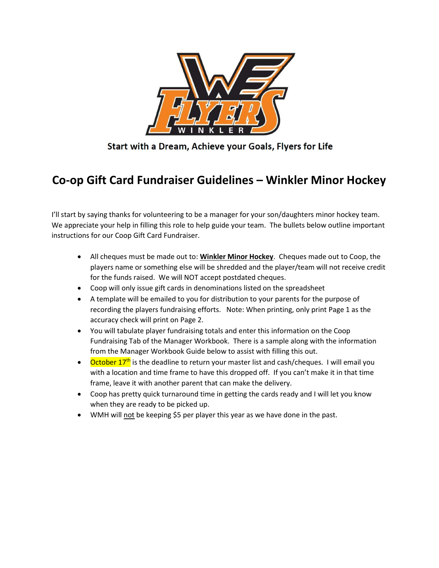

Start with a Dream, Achieve your Goals, Flyers for Life

## Co-op Gift Card Fundraiser Guidelines – Winkler Minor Hockey

I'll start by saying thanks for volunteering to be a manager for your son/daughters minor hockey team. We appreciate your help in filling this role to help guide your team. The bullets below outline important instructions for our Coop Gift Card Fundraiser.

- All cheques must be made out to: Winkler Minor Hockey. Cheques made out to Coop, the players name or something else will be shredded and the player/team will not receive credit for the funds raised. We will NOT accept postdated cheques.
- Coop will only issue gift cards in denominations listed on the spreadsheet
- A template will be emailed to you for distribution to your parents for the purpose of recording the players fundraising efforts. Note: When printing, only print Page 1 as the accuracy check will print on Page 2.
- You will tabulate player fundraising totals and enter this information on the Coop Fundraising Tab of the Manager Workbook. There is a sample along with the information from the Manager Workbook Guide below to assist with filling this out.
- October  $17<sup>th</sup>$  is the deadline to return your master list and cash/cheques. I will email you with a location and time frame to have this dropped off. If you can't make it in that time frame, leave it with another parent that can make the delivery.
- Coop has pretty quick turnaround time in getting the cards ready and I will let you know when they are ready to be picked up.
- WMH will not be keeping \$5 per player this year as we have done in the past.